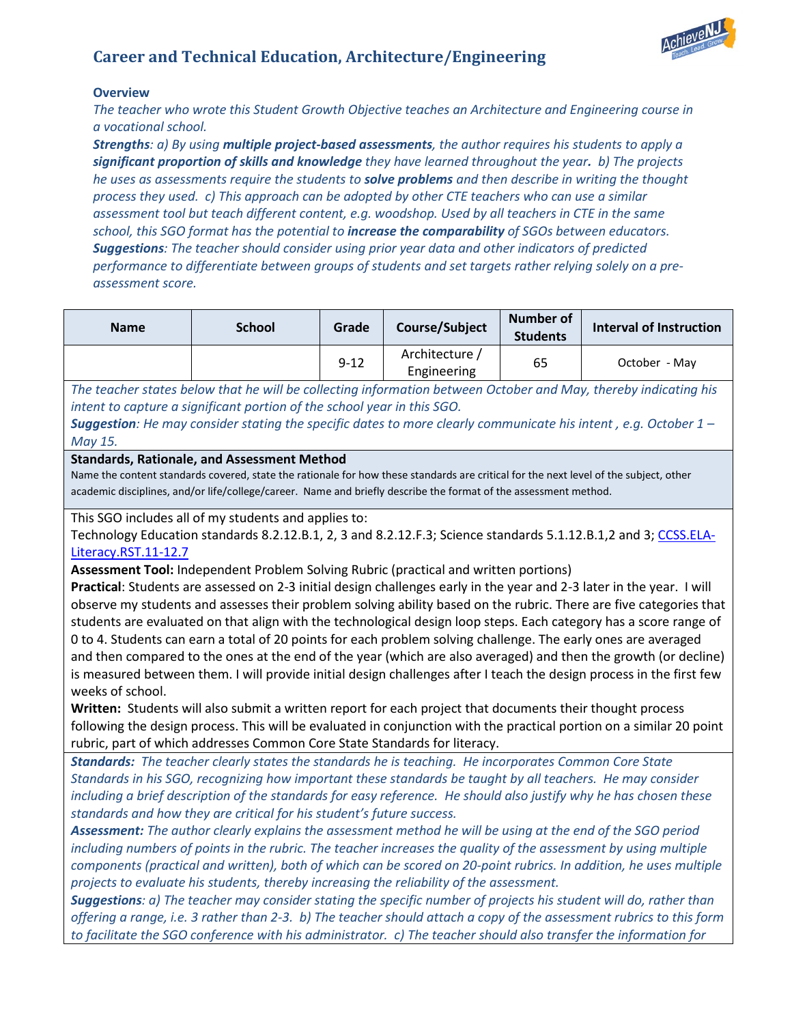# **Career and Technical Education, Architecture/Engineering**



# **Overview**

*The teacher who wrote this Student Growth Objective teaches an Architecture and Engineering course in a vocational school.* 

*Strengths: a) By using multiple project-based assessments, the author requires his students to apply a significant proportion of skills and knowledge they have learned throughout the year. b) The projects he uses as assessments require the students to solve problems and then describe in writing the thought process they used. c) This approach can be adopted by other CTE teachers who can use a similar assessment tool but teach different content, e.g. woodshop. Used by all teachers in CTE in the same school, this SGO format has the potential to increase the comparability of SGOs between educators. Suggestions: The teacher should consider using prior year data and other indicators of predicted performance to differentiate between groups of students and set targets rather relying solely on a preassessment score.*

| <b>Name</b> | <b>School</b> | Grade    | Course/Subject                | <b>Number of</b><br><b>Students</b> | Interval of Instruction |
|-------------|---------------|----------|-------------------------------|-------------------------------------|-------------------------|
|             |               | $9 - 12$ | Architecture /<br>Engineering | 65                                  | October - May           |

*The teacher states below that he will be collecting information between October and May, thereby indicating his intent to capture a significant portion of the school year in this SGO.* 

*Suggestion: He may consider stating the specific dates to more clearly communicate his intent , e.g. October 1 – May 15.*

## **Standards, Rationale, and Assessment Method**

Name the content standards covered, state the rationale for how these standards are critical for the next level of the subject, other academic disciplines, and/or life/college/career. Name and briefly describe the format of the assessment method.

This SGO includes all of my students and applies to:

Technology Education standards 8.2.12.B.1, 2, 3 and 8.2.12.F.3; Science standards 5.1.12.B.1,2 and 3; [CCSS.ELA-](http://www.corestandards.org/ELA-Literacy/RST/11-12/7/)[Literacy.RST.11-12.7](http://www.corestandards.org/ELA-Literacy/RST/11-12/7/)

**Assessment Tool:** Independent Problem Solving Rubric (practical and written portions)

**Practical**: Students are assessed on 2-3 initial design challenges early in the year and 2-3 later in the year. I will observe my students and assesses their problem solving ability based on the rubric. There are five categories that students are evaluated on that align with the technological design loop steps. Each category has a score range of 0 to 4. Students can earn a total of 20 points for each problem solving challenge. The early ones are averaged and then compared to the ones at the end of the year (which are also averaged) and then the growth (or decline) is measured between them. I will provide initial design challenges after I teach the design process in the first few weeks of school.

**Written:** Students will also submit a written report for each project that documents their thought process following the design process. This will be evaluated in conjunction with the practical portion on a similar 20 point rubric, part of which addresses Common Core State Standards for literacy.

*Standards: The teacher clearly states the standards he is teaching. He incorporates Common Core State Standards in his SGO, recognizing how important these standards be taught by all teachers. He may consider including a brief description of the standards for easy reference. He should also justify why he has chosen these standards and how they are critical for his student's future success.*

*Assessment: The author clearly explains the assessment method he will be using at the end of the SGO period including numbers of points in the rubric. The teacher increases the quality of the assessment by using multiple components (practical and written), both of which can be scored on 20-point rubrics. In addition, he uses multiple projects to evaluate his students, thereby increasing the reliability of the assessment.* 

*Suggestions: a) The teacher may consider stating the specific number of projects his student will do, rather than offering a range, i.e. 3 rather than 2-3. b) The teacher should attach a copy of the assessment rubrics to this form to facilitate the SGO conference with his administrator. c) The teacher should also transfer the information for*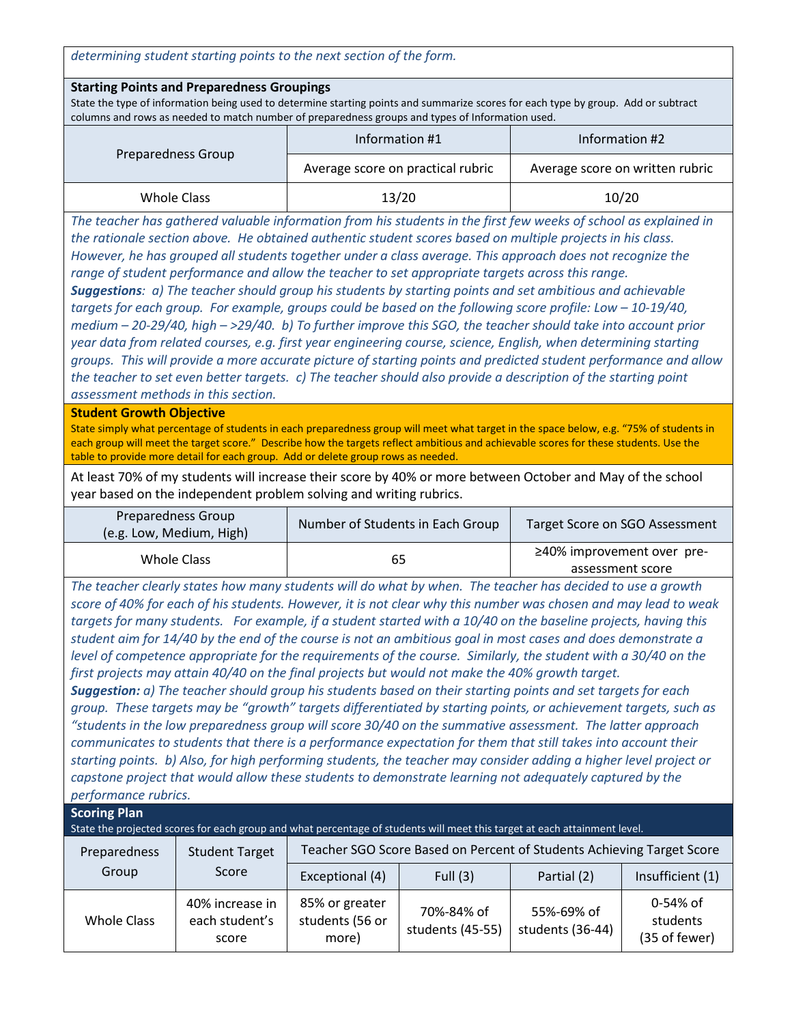*determining student starting points to the next section of the form.*

### **Starting Points and Preparedness Groupings**

State the type of information being used to determine starting points and summarize scores for each type by group. Add or subtract columns and rows as needed to match number of preparedness groups and types of Information used.

|                    | Information #1                    | Information #2                  |  |
|--------------------|-----------------------------------|---------------------------------|--|
| Preparedness Group | Average score on practical rubric | Average score on written rubric |  |
| Whole Class        | 13/20                             | 10/20                           |  |

*The teacher has gathered valuable information from his students in the first few weeks of school as explained in the rationale section above. He obtained authentic student scores based on multiple projects in his class. However, he has grouped all students together under a class average. This approach does not recognize the range of student performance and allow the teacher to set appropriate targets across this range. Suggestions: a) The teacher should group his students by starting points and set ambitious and achievable targets for each group. For example, groups could be based on the following score profile: Low – 10-19/40, medium – 20-29/40, high – >29/40. b) To further improve this SGO, the teacher should take into account prior year data from related courses, e.g. first year engineering course, science, English, when determining starting groups. This will provide a more accurate picture of starting points and predicted student performance and allow the teacher to set even better targets. c) The teacher should also provide a description of the starting point assessment methods in this section.*

### **Student Growth Objective**

State simply what percentage of students in each preparedness group will meet what target in the space below, e.g. "75% of students in each group will meet the target score." Describe how the targets reflect ambitious and achievable scores for these students. Use the table to provide more detail for each group. Add or delete group rows as needed.

At least 70% of my students will increase their score by 40% or more between October and May of the school year based on the independent problem solving and writing rubrics.

| Preparedness Group<br>(e.g. Low, Medium, High) | Number of Students in Each Group | Target Score on SGO Assessment                 |  |
|------------------------------------------------|----------------------------------|------------------------------------------------|--|
| Whole Class                                    | 65                               | ≥40% improvement over pre-<br>assessment score |  |

*The teacher clearly states how many students will do what by when. The teacher has decided to use a growth score of 40% for each of his students. However, it is not clear why this number was chosen and may lead to weak targets for many students. For example, if a student started with a 10/40 on the baseline projects, having this student aim for 14/40 by the end of the course is not an ambitious goal in most cases and does demonstrate a level of competence appropriate for the requirements of the course. Similarly, the student with a 30/40 on the first projects may attain 40/40 on the final projects but would not make the 40% growth target.* 

*Suggestion: a) The teacher should group his students based on their starting points and set targets for each group. These targets may be "growth" targets differentiated by starting points, or achievement targets, such as "students in the low preparedness group will score 30/40 on the summative assessment. The latter approach communicates to students that there is a performance expectation for them that still takes into account their starting points. b) Also, for high performing students, the teacher may consider adding a higher level project or capstone project that would allow these students to demonstrate learning not adequately captured by the performance rubrics.*

| performance rabiles.                                                                                                      |                                            |                                                                       |                                |                                |                                       |  |
|---------------------------------------------------------------------------------------------------------------------------|--------------------------------------------|-----------------------------------------------------------------------|--------------------------------|--------------------------------|---------------------------------------|--|
| <b>Scoring Plan</b>                                                                                                       |                                            |                                                                       |                                |                                |                                       |  |
| State the projected scores for each group and what percentage of students will meet this target at each attainment level. |                                            |                                                                       |                                |                                |                                       |  |
| Preparedness<br>Group                                                                                                     | <b>Student Target</b><br>Score             | Teacher SGO Score Based on Percent of Students Achieving Target Score |                                |                                |                                       |  |
|                                                                                                                           |                                            | Exceptional (4)                                                       | Full $(3)$                     | Partial (2)                    | Insufficient (1)                      |  |
| <b>Whole Class</b>                                                                                                        | 40% increase in<br>each student's<br>score | 85% or greater<br>students (56 or<br>more)                            | 70%-84% of<br>students (45-55) | 55%-69% of<br>students (36-44) | 0-54% of<br>students<br>(35 of fewer) |  |